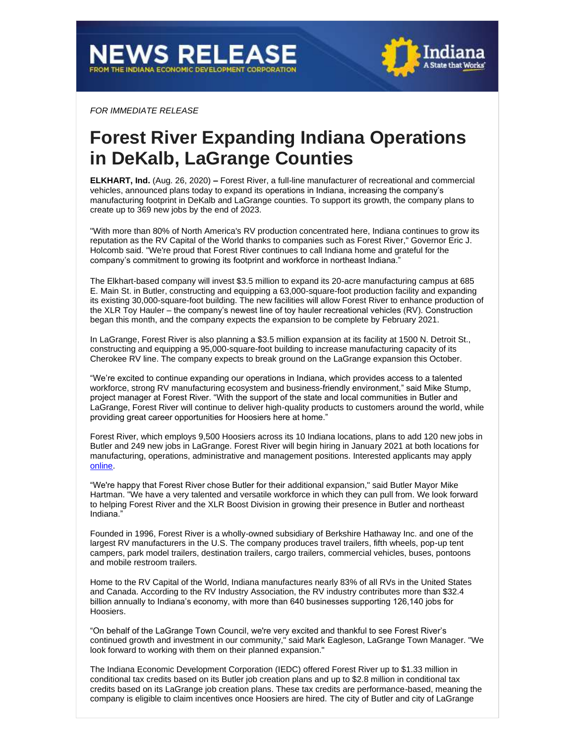

*FOR IMMEDIATE RELEASE*

## **Forest River Expanding Indiana Operations in DeKalb, LaGrange Counties**

**ELKHART, Ind.** (Aug. 26, 2020) **–** Forest River, a full-line manufacturer of recreational and commercial vehicles, announced plans today to expand its operations in Indiana, increasing the company's manufacturing footprint in DeKalb and LaGrange counties. To support its growth, the company plans to create up to 369 new jobs by the end of 2023.

"With more than 80% of North America's RV production concentrated here, Indiana continues to grow its reputation as the RV Capital of the World thanks to companies such as Forest River," Governor Eric J. Holcomb said. "We're proud that Forest River continues to call Indiana home and grateful for the company's commitment to growing its footprint and workforce in northeast Indiana."

The Elkhart-based company will invest \$3.5 million to expand its 20-acre manufacturing campus at 685 E. Main St. in Butler, constructing and equipping a 63,000-square-foot production facility and expanding its existing 30,000-square-foot building. The new facilities will allow Forest River to enhance production of the XLR Toy Hauler – the company's newest line of toy hauler recreational vehicles (RV). Construction began this month, and the company expects the expansion to be complete by February 2021.

In LaGrange, Forest River is also planning a \$3.5 million expansion at its facility at 1500 N. Detroit St., constructing and equipping a 95,000-square-foot building to increase manufacturing capacity of its Cherokee RV line. The company expects to break ground on the LaGrange expansion this October.

"We're excited to continue expanding our operations in Indiana, which provides access to a talented workforce, strong RV manufacturing ecosystem and business-friendly environment," said Mike Stump, project manager at Forest River. "With the support of the state and local communities in Butler and LaGrange, Forest River will continue to deliver high-quality products to customers around the world, while providing great career opportunities for Hoosiers here at home."

Forest River, which employs 9,500 Hoosiers across its 10 Indiana locations, plans to add 120 new jobs in Butler and 249 new jobs in LaGrange. Forest River will begin hiring in January 2021 at both locations for manufacturing, operations, administrative and management positions. Interested applicants may apply [online.](http://www.forestriverinc.com/)

"We're happy that Forest River chose Butler for their additional expansion," said Butler Mayor Mike Hartman. "We have a very talented and versatile workforce in which they can pull from. We look forward to helping Forest River and the XLR Boost Division in growing their presence in Butler and northeast Indiana."

Founded in 1996, Forest River is a wholly-owned subsidiary of Berkshire Hathaway Inc. and one of the largest RV manufacturers in the U.S. The company produces travel trailers, fifth wheels, pop-up tent campers, park model trailers, destination trailers, cargo trailers, commercial vehicles, buses, pontoons and mobile restroom trailers.

Home to the RV Capital of the World, Indiana manufactures nearly 83% of all RVs in the United States and Canada. According to the RV Industry Association, the RV industry contributes more than \$32.4 billion annually to Indiana's economy, with more than 640 businesses supporting 126,140 jobs for Hoosiers.

"On behalf of the LaGrange Town Council, we're very excited and thankful to see Forest River's continued growth and investment in our community," said Mark Eagleson, LaGrange Town Manager. "We look forward to working with them on their planned expansion."

The Indiana Economic Development Corporation (IEDC) offered Forest River up to \$1.33 million in conditional tax credits based on its Butler job creation plans and up to \$2.8 million in conditional tax credits based on its LaGrange job creation plans. These tax credits are performance-based, meaning the company is eligible to claim incentives once Hoosiers are hired. The city of Butler and city of LaGrange